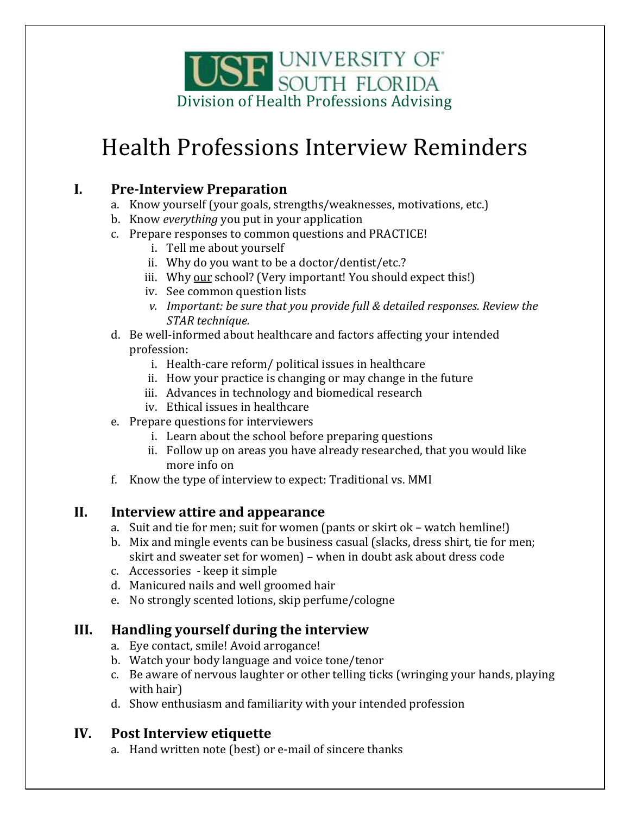

# Health Professions Interview Reminders

### **I. Pre-Interview Preparation**

- a. Know yourself (your goals, strengths/weaknesses, motivations, etc.)
- b. Know *everything* you put in your application
- c. Prepare responses to common questions and PRACTICE!
	- i. Tell me about yourself
	- ii. Why do you want to be a doctor/dentist/etc.?
	- iii. Why our school? (Very important! You should expect this!)
	- iv. See common question lists
	- *v. Important: be sure that you provide full & detailed responses. Review the STAR technique.*
- d. Be well-informed about healthcare and factors affecting your intended profession:
	- i. Health-care reform/ political issues in healthcare
	- ii. How your practice is changing or may change in the future
	- iii. Advances in technology and biomedical research
	- iv. Ethical issues in healthcare
- e. Prepare questions for interviewers
	- i. Learn about the school before preparing questions
	- ii. Follow up on areas you have already researched, that you would like more info on
- f. Know the type of interview to expect: Traditional vs. MMI

### **II. Interview attire and appearance**

- a. Suit and tie for men; suit for women (pants or skirt ok watch hemline!)
- b. Mix and mingle events can be business casual (slacks, dress shirt, tie for men; skirt and sweater set for women) – when in doubt ask about dress code
- c. Accessories keep it simple
- d. Manicured nails and well groomed hair
- e. No strongly scented lotions, skip perfume/cologne

### **III. Handling yourself during the interview**

- a. Eye contact, smile! Avoid arrogance!
- b. Watch your body language and voice tone/tenor
- c. Be aware of nervous laughter or other telling ticks (wringing your hands, playing with hair)
- d. Show enthusiasm and familiarity with your intended profession

### **IV. Post Interview etiquette**

a. Hand written note (best) or e-mail of sincere thanks